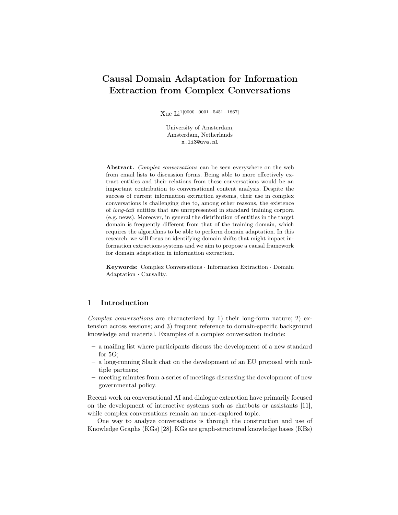# Causal Domain Adaptation for Information Extraction from Complex Conversations

Xue Li1[0000−0001−5451−1867]

University of Amsterdam, Amsterdam, Netherlands x.li3@uva.nl

Abstract. Complex conversations can be seen everywhere on the web from email lists to discussion forms. Being able to more effectively extract entities and their relations from these conversations would be an important contribution to conversational content analysis. Despite the success of current information extraction systems, their use in complex conversations is challenging due to, among other reasons, the existence of long-tail entities that are unrepresented in standard training corpora (e.g. news). Moreover, in general the distribution of entities in the target domain is frequently different from that of the training domain, which requires the algorithms to be able to perform domain adaptation. In this research, we will focus on identifying domain shifts that might impact information extractions systems and we aim to propose a causal framework for domain adaptation in information extraction.

Keywords: Complex Conversations · Information Extraction · Domain Adaptation · Causality.

# 1 Introduction

Complex conversations are characterized by 1) their long-form nature; 2) extension across sessions; and 3) frequent reference to domain-specific background knowledge and material. Examples of a complex conversation include:

- a mailing list where participants discuss the development of a new standard for 5G;
- a long-running Slack chat on the development of an EU proposal with multiple partners;
- meeting minutes from a series of meetings discussing the development of new governmental policy.

Recent work on conversational AI and dialogue extraction have primarily focused on the development of interactive systems such as chatbots or assistants [11], while complex conversations remain an under-explored topic.

One way to analyze conversations is through the construction and use of Knowledge Graphs (KGs) [28]. KGs are graph-structured knowledge bases (KBs)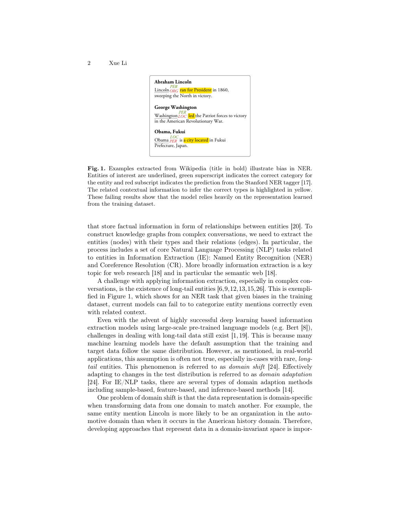

Fig. 1. Examples extracted from Wikipedia (title in bold) illustrate bias in NER. Entities of interest are underlined, green superscript indicates the correct category for the entity and red subscript indicates the prediction from the Stanford NER tagger [17]. The related contextual information to infer the correct types is highlighted in yellow. These failing results show that the model relies heavily on the representation learned from the training dataset.

that store factual information in form of relationships between entities [20]. To construct knowledge graphs from complex conversations, we need to extract the entities (nodes) with their types and their relations (edges). In particular, the process includes a set of core Natural Language Processing (NLP) tasks related to entities in Information Extraction (IE): Named Entity Recognition (NER) and Coreference Resolution (CR). More broadly information extraction is a key topic for web research [18] and in particular the semantic web [18].

A challenge with applying information extraction, especially in complex conversations, is the existence of long-tail entities [6,9,12,13,15,26]. This is exemplified in Figure 1, which shows for an NER task that given biases in the training dataset, current models can fail to to categorize entity mentions correctly even with related context.

Even with the advent of highly successful deep learning based information extraction models using large-scale pre-trained language models (e.g. Bert [8]), challenges in dealing with long-tail data still exist [1, 19]. This is because many machine learning models have the default assumption that the training and target data follow the same distribution. However, as mentioned, in real-world applications, this assumption is often not true, especially in-cases with rare, longtail entities. This phenomenon is referred to as domain shift [24]. Effectively adapting to changes in the test distribution is referred to as domain adaptation [24]. For IE/NLP tasks, there are several types of domain adaption methods including sample-based, feature-based, and inference-based methods [14].

One problem of domain shift is that the data representation is domain-specific when transforming data from one domain to match another. For example, the same entity mention Lincoln is more likely to be an organization in the automotive domain than when it occurs in the American history domain. Therefore, developing approaches that represent data in a domain-invariant space is impor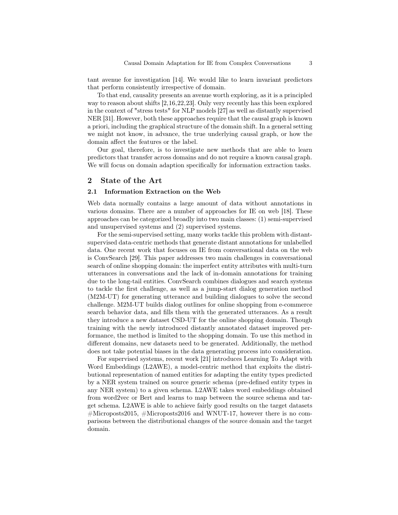tant avenue for investigation [14]. We would like to learn invariant predictors that perform consistently irrespective of domain.

To that end, causality presents an avenue worth exploring, as it is a principled way to reason about shifts [2,16,22,23]. Only very recently has this been explored in the context of "stress tests" for NLP models [27] as well as distantly supervised NER [31]. However, both these approaches require that the causal graph is known a priori, including the graphical structure of the domain shift. In a general setting we might not know, in advance, the true underlying causal graph, or how the domain affect the features or the label.

Our goal, therefore, is to investigate new methods that are able to learn predictors that transfer across domains and do not require a known causal graph. We will focus on domain adaption specifically for information extraction tasks.

## 2 State of the Art

#### 2.1 Information Extraction on the Web

Web data normally contains a large amount of data without annotations in various domains. There are a number of approaches for IE on web [18]. These approaches can be categorized broadly into two main classes: (1) semi-supervised and unsupervised systems and (2) supervised systems.

For the semi-supervised setting, many works tackle this problem with distantsupervised data-centric methods that generate distant annotations for unlabelled data. One recent work that focuses on IE from conversational data on the web is ConvSearch [29]. This paper addresses two main challenges in conversational search of online shopping domain: the imperfect entity attributes with multi-turn utterances in conversations and the lack of in-domain annotations for training due to the long-tail entities. ConvSearch combines dialogues and search systems to tackle the first challenge, as well as a jump-start dialog generation method (M2M-UT) for generating utterance and building dialogues to solve the second challenge. M2M-UT builds dialog outlines for online shopping from e-commerce search behavior data, and fills them with the generated utterances. As a result they introduce a new dataset CSD-UT for the online shopping domain. Though training with the newly introduced distantly annotated dataset improved performance, the method is limited to the shopping domain. To use this method in different domains, new datasets need to be generated. Additionally, the method does not take potential biases in the data generating process into consideration.

For supervised systems, recent work [21] introduces Learning To Adapt with Word Embeddings (L2AWE), a model-centric method that exploits the distributional representation of named entities for adapting the entity types predicted by a NER system trained on source generic schema (pre-defined entity types in any NER system) to a given schema. L2AWE takes word embeddings obtained from word2vec or Bert and learns to map between the source schema and target schema. L2AWE is able to achieve fairly good results on the target datasets  $\#$ Microposts2015,  $\#$ Microposts2016 and WNUT-17, however there is no comparisons between the distributional changes of the source domain and the target domain.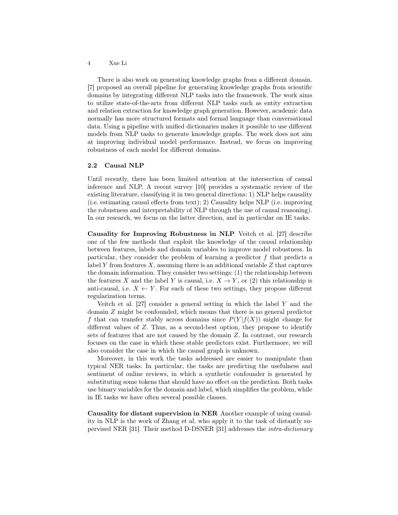There is also work on generating knowledge graphs from a different domain. [7] proposed an overall pipeline for generating knowledge graphs from scientific domains by integrating different NLP tasks into the framework. The work aims to utilize state-of-the-arts from different NLP tasks such as entity extraction and relation extraction for knowledge graph generation. However, academic data normally has more structured formats and formal language than conversational data. Using a pipeline with unified dictionaries makes it possible to use different models from NLP tasks to generate knowledge graphs. The work does not aim at improving individual model performance. Instead, we focus on improving robustness of each model for different domains.

#### 2.2 Causal NLP

Until recently, there has been limited attention at the intersection of causal inference and NLP. A recent survey [10] provides a systematic review of the existing literature, classifying it in two general directions: 1) NLP helps causality (i.e. estimating causal effects from text); 2) Causality helps NLP (i.e. improving the robustness and interpretability of NLP through the use of causal reasoning). In our research, we focus on the latter direction, and in particular on IE tasks.

Causality for Improving Robustness in NLP Veitch et al. [27] describe one of the few methods that exploit the knowledge of the causal relationship between features, labels and domain variables to improve model robustness. In particular, they consider the problem of learning a predictor  $f$  that predicts a label Y from features  $X$ , assuming there is an additional variable  $Z$  that captures the domain information. They consider two settings: (1) the relationship between the features X and the label Y is causal, i.e.  $X \to Y$ , or (2) this relationship is anti-causal, i.e.  $X \leftarrow Y$ . For each of these two settings, they propose different regularization terms.

Veitch et al.  $[27]$  consider a general setting in which the label Y and the domain Z might be confounded, which means that there is no general predictor f that can transfer stably across domains since  $P(Y|f(X))$  might change for different values of Z. Thus, as a second-best option, they propose to identify sets of features that are not caused by the domain Z. In contrast, our research focuses on the case in which these stable predictors exist. Furthermore, we will also consider the case in which the causal graph is unknown.

Moreover, in this work the tasks addressed are easier to manipulate than typical NER tasks. In particular, the tasks are predicting the usefulness and sentiment of online reviews, in which a synthetic confounder is generated by substituting some tokens that should have no effect on the prediction. Both tasks use binary variables for the domain and label, which simplifies the problem, while in IE tasks we have often several possible classes.

Causality for distant supervision in NER Another example of using causality in NLP is the work of Zhang et al. who apply it to the task of distantly supervised NER [31]. Their method D-DSNER [31] addresses the intra-dictionary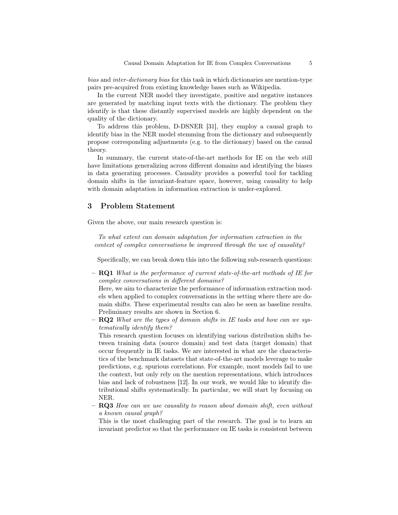bias and inter-dictionary bias for this task in which dictionaries are mention-type pairs pre-acquired from existing knowledge bases such as Wikipedia.

In the current NER model they investigate, positive and negative instances are generated by matching input texts with the dictionary. The problem they identify is that these distantly supervised models are highly dependent on the quality of the dictionary.

To address this problem, D-DSNER [31], they employ a causal graph to identify bias in the NER model stemming from the dictionary and subsequently propose corresponding adjustments (e.g. to the dictionary) based on the causal theory.

In summary, the current state-of-the-art methods for IE on the web still have limitations generalizing across different domains and identifying the biases in data generating processes. Causality provides a powerful tool for tackling domain shifts in the invariant-feature space, however, using causality to help with domain adaptation in information extraction is under-explored.

### 3 Problem Statement

Given the above, our main research question is:

To what extent can domain adaptation for information extraction in the context of complex conversations be improved through the use of causality?

Specifically, we can break down this into the following sub-research questions:

 $-$  **RQ1** What is the performance of current state-of-the-art methods of IE for complex conversations in different domains?

Here, we aim to characterize the performance of information extraction models when applied to complex conversations in the setting where there are domain shifts. These experimental results can also be seen as baseline results. Preliminary results are shown in Section 6.

 $-$  RQ2 What are the types of domain shifts in IE tasks and how can we systematically identify them?

This research question focuses on identifying various distribution shifts between training data (source domain) and test data (target domain) that occur frequently in IE tasks. We are interested in what are the characteristics of the benchmark datasets that state-of-the-art models leverage to make predictions, e.g. spurious correlations. For example, most models fail to use the context, but only rely on the mention representations, which introduces bias and lack of robustness [12]. In our work, we would like to identify distributional shifts systematically. In particular, we will start by focusing on NER.

 $-$  **RQ3** How can we use causality to reason about domain shift, even without a known causal graph?

This is the most challenging part of the research. The goal is to learn an invariant predictor so that the performance on IE tasks is consistent between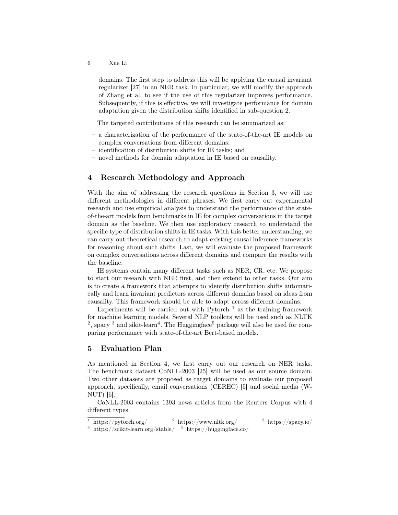domains. The first step to address this will be applying the causal invariant regularizer [27] in an NER task. In particular, we will modify the approach of Zhang et al. to see if the use of this regularizer improves performance. Subsequently, if this is effective, we will investigate performance for domain adaptation given the distribution shifts identified in sub-question 2.

The targeted contributions of this research can be summarized as:

- a characterization of the performance of the state-of-the-art IE models on complex conversations from different domains;
- identification of distribution shifts for IE tasks; and
- novel methods for domain adaptation in IE based on causality.

# 4 Research Methodology and Approach

With the aim of addressing the research questions in Section 3, we will use different methodologies in different phrases. We first carry out experimental research and use empirical analysis to understand the performance of the stateof-the-art models from benchmarks in IE for complex conversations in the target domain as the baseline. We then use exploratory research to understand the specific type of distribution shifts in IE tasks. With this better understanding, we can carry out theoretical research to adapt existing causal inference frameworks for reasoning about such shifts. Last, we will evaluate the proposed framework on complex conversations across different domains and compare the results with the baseline.

IE systems contain many different tasks such as NER, CR, etc. We propose to start our research with NER first, and then extend to other tasks. Our aim is to create a framework that attempts to identify distribution shifts automatically and learn invariant predictors across different domains based on ideas from causality. This framework should be able to adapt across different domains.

Experiments will be carried out with Pytorch  $<sup>1</sup>$  as the training framework</sup> for machine learning models. Several NLP toolkits will be used such as NLTK <sup>2</sup>, spacy<sup>3</sup> and sikit-learn<sup>4</sup>. The Huggingface<sup>5</sup> package will also be used for comparing performance with state-of-the-art Bert-based models.

# 5 Evaluation Plan

As mentioned in Section 4, we first carry out our research on NER tasks. The benchmark dataset CoNLL-2003 [25] will be used as our source domain. Two other datasets are proposed as target domains to evaluate our proposed approach, specifically, email conversations (CEREC) [5] and social media (W-NUT) [6].

CoNLL-2003 contains 1393 news articles from the Reuters Corpus with 4 different types.

 $\frac{1}{1}$  https://pytorch.org/  $\frac{2}{1}$  https://www.nltk.org/  $\frac{3}{1}$  https://spacy.io/ <sup>4</sup> https://scikit-learn.org/stable/  $5$  https://huggingface.co/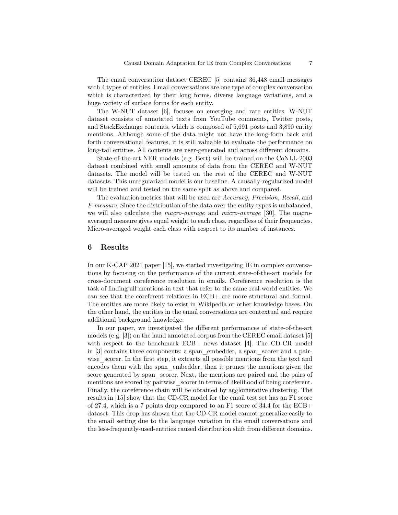The email conversation dataset CEREC [5] contains 36,448 email messages with 4 types of entities. Email conversations are one type of complex conversation which is characterized by their long forms, diverse language variations, and a huge variety of surface forms for each entity.

The W-NUT dataset [6], focuses on emerging and rare entities. W-NUT dataset consists of annotated texts from YouTube comments, Twitter posts, and StackExchange contents, which is composed of 5,691 posts and 3,890 entity mentions. Although some of the data might not have the long-form back and forth conversational features, it is still valuable to evaluate the performance on long-tail entities. All contents are user-generated and across different domains.

State-of-the-art NER models (e.g. Bert) will be trained on the CoNLL-2003 dataset combined with small amounts of data from the CEREC and W-NUT datasets. The model will be tested on the rest of the CEREC and W-NUT datasets. This unregularized model is our baseline. A causally-regularized model will be trained and tested on the same split as above and compared.

The evaluation metrics that will be used are Accuracy, Precision, Recall, and F-measure. Since the distribution of the data over the entity types is unbalanced, we will also calculate the macro-average and micro-average [30]. The macroaveraged measure gives equal weight to each class, regardless of their frequencies. Micro-averaged weight each class with respect to its number of instances.

## 6 Results

In our K-CAP 2021 paper [15], we started investigating IE in complex conversations by focusing on the performance of the current state-of-the-art models for cross-document coreference resolution in emails. Coreference resolution is the task of finding all mentions in text that refer to the same real-world entities. We can see that the coreferent relations in ECB+ are more structural and formal. The entities are more likely to exist in Wikipedia or other knowledge bases. On the other hand, the entities in the email conversations are contextual and require additional background knowledge.

In our paper, we investigated the different performances of state-of-the-art models (e.g. [3]) on the hand annotated corpus from the CEREC email dataset [5] with respect to the benchmark ECB+ news dataset [4]. The CD-CR model in [3] contains three components: a span\_embedder, a span\_scorer and a pairwise—scorer. In the first step, it extracts all possible mentions from the text and encodes them with the span\_embedder, then it prunes the mentions given the score generated by span\_scorer. Next, the mentions are paired and the pairs of mentions are scored by pairwise scorer in terms of likelihood of being coreferent. Finally, the coreference chain will be obtained by agglomerative clustering. The results in [15] show that the CD-CR model for the email test set has an F1 score of 27.4, which is a 7 points drop compared to an F1 score of  $34.4$  for the ECB+ dataset. This drop has shown that the CD-CR model cannot generalize easily to the email setting due to the language variation in the email conversations and the less-frequently-used-entities caused distribution shift from different domains.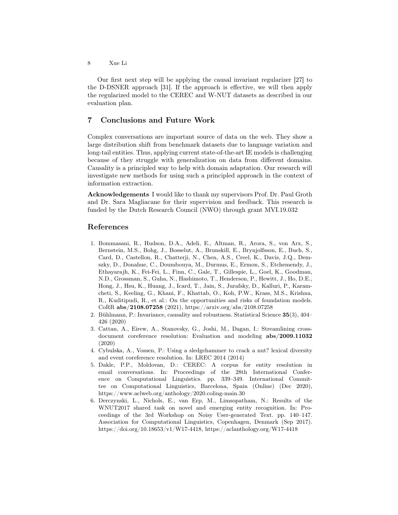Our first next step will be applying the causal invariant regularizer [27] to the D-DSNER approach [31]. If the approach is effective, we will then apply the regularized model to the CEREC and W-NUT datasets as described in our evaluation plan.

# 7 Conclusions and Future Work

Complex conversations are important source of data on the web. They show a large distribution shift from benchmark datasets due to language variation and long-tail entities. Thus, applying current state-of-the-art IE models is challenging because of they struggle with generalization on data from different domains. Causality is a principled way to help with domain adaptation. Our research will investigate new methods for using such a principled approach in the context of information extraction.

Acknowledgements I would like to thank my supervisors Prof. Dr. Paul Groth and Dr. Sara Magliacane for their supervision and feedback. This research is funded by the Dutch Research Council (NWO) through grant MVI.19.032

## References

- 1. Bommasani, R., Hudson, D.A., Adeli, E., Altman, R., Arora, S., von Arx, S., Bernstein, M.S., Bohg, J., Bosselut, A., Brunskill, E., Brynjolfsson, E., Buch, S., Card, D., Castellon, R., Chatterji, N., Chen, A.S., Creel, K., Davis, J.Q., Demszky, D., Donahue, C., Doumbouya, M., Durmus, E., Ermon, S., Etchemendy, J., Ethayarajh, K., Fei-Fei, L., Finn, C., Gale, T., Gillespie, L., Goel, K., Goodman, N.D., Grossman, S., Guha, N., Hashimoto, T., Henderson, P., Hewitt, J., Ho, D.E., Hong, J., Hsu, K., Huang, J., Icard, T., Jain, S., Jurafsky, D., Kalluri, P., Karamcheti, S., Keeling, G., Khani, F., Khattab, O., Koh, P.W., Krass, M.S., Krishna, R., Kuditipudi, R., et al.: On the opportunities and risks of foundation models. CoRR abs/2108.07258 (2021), https://arxiv.org/abs/2108.07258
- 2. Bühlmann, P.: Invariance, causality and robustness. Statistical Science 35(3), 404– 426 (2020)
- 3. Cattan, A., Eirew, A., Stanovsky, G., Joshi, M., Dagan, I.: Streamlining crossdocument coreference resolution: Evaluation and modeling abs/2009.11032 (2020)
- 4. Cybulska, A., Vossen, P.: Using a sledgehammer to crack a nut? lexical diversity and event coreference resolution. In: LREC 2014 (2014)
- 5. Dakle, P.P., Moldovan, D.: CEREC: A corpus for entity resolution in email conversations. In: Proceedings of the 28th International Conference on Computational Linguistics. pp. 339–349. International Committee on Computational Linguistics, Barcelona, Spain (Online) (Dec 2020), https://www.aclweb.org/anthology/2020.coling-main.30
- 6. Derczynski, L., Nichols, E., van Erp, M., Limsopatham, N.: Results of the WNUT2017 shared task on novel and emerging entity recognition. In: Proceedings of the 3rd Workshop on Noisy User-generated Text. pp. 140–147. Association for Computational Linguistics, Copenhagen, Denmark (Sep 2017). https://doi.org/10.18653/v1/W17-4418, https://aclanthology.org/W17-4418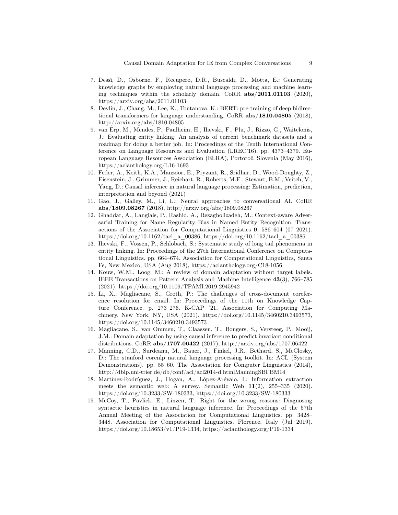- 7. Dessì, D., Osborne, F., Recupero, D.R., Buscaldi, D., Motta, E.: Generating knowledge graphs by employing natural language processing and machine learning techniques within the scholarly domain. CoRR  $abs/2011.01103$  (2020), https://arxiv.org/abs/2011.01103
- 8. Devlin, J., Chang, M., Lee, K., Toutanova, K.: BERT: pre-training of deep bidirectional transformers for language understanding. CoRR abs/1810.04805 (2018), http://arxiv.org/abs/1810.04805
- 9. van Erp, M., Mendes, P., Paulheim, H., Ilievski, F., Plu, J., Rizzo, G., Waitelonis, J.: Evaluating entity linking: An analysis of current benchmark datasets and a roadmap for doing a better job. In: Proceedings of the Tenth International Conference on Language Resources and Evaluation (LREC'16). pp. 4373–4379. European Language Resources Association (ELRA), Portorož, Slovenia (May 2016), https://aclanthology.org/L16-1693
- 10. Feder, A., Keith, K.A., Manzoor, E., Pryzant, R., Sridhar, D., Wood-Doughty, Z., Eisenstein, J., Grimmer, J., Reichart, R., Roberts, M.E., Stewart, B.M., Veitch, V., Yang, D.: Causal inference in natural language processing: Estimation, prediction, interpretation and beyond (2021)
- 11. Gao, J., Galley, M., Li, L.: Neural approaches to conversational AI. CoRR abs/1809.08267 (2018), http://arxiv.org/abs/1809.08267
- 12. Ghaddar, A., Langlais, P., Rashid, A., Rezagholizadeh, M.: Context-aware Adversarial Training for Name Regularity Bias in Named Entity Recognition. Transactions of the Association for Computational Linguistics 9, 586–604 (07 2021). https://doi.org/10.1162/tacl\_a\_00386, https://doi.org/10.1162/tacl\_a\_00386
- 13. Ilievski, F., Vossen, P., Schlobach, S.: Systematic study of long tail phenomena in entity linking. In: Proceedings of the 27th International Conference on Computational Linguistics. pp. 664–674. Association for Computational Linguistics, Santa Fe, New Mexico, USA (Aug 2018), https://aclanthology.org/C18-1056
- 14. Kouw, W.M., Loog, M.: A review of domain adaptation without target labels. IEEE Transactions on Pattern Analysis and Machine Intelligence 43(3), 766–785 (2021). https://doi.org/10.1109/TPAMI.2019.2945942
- 15. Li, X., Magliacane, S., Groth, P.: The challenges of cross-document coreference resolution for email. In: Proceedings of the 11th on Knowledge Capture Conference. p. 273–276. K-CAP '21, Association for Computing Machinery, New York, NY, USA (2021). https://doi.org/10.1145/3460210.3493573, https://doi.org/10.1145/3460210.3493573
- 16. Magliacane, S., van Ommen, T., Claassen, T., Bongers, S., Versteeg, P., Mooij, J.M.: Domain adaptation by using causal inference to predict invariant conditional distributions. CoRR abs/1707.06422 (2017), http://arxiv.org/abs/1707.06422
- 17. Manning, C.D., Surdeanu, M., Bauer, J., Finkel, J.R., Bethard, S., McClosky, D.: The stanford corenlp natural language processing toolkit. In: ACL (System Demonstrations). pp. 55–60. The Association for Computer Linguistics (2014), http://dblp.uni-trier.de/db/conf/acl/acl2014-d.htmlManningSBFBM14
- 18. Martínez-Rodríguez, J., Hogan, A., López-Arévalo, I.: Information extraction meets the semantic web: A survey. Semantic Web  $11(2)$ , 255–335 (2020). https://doi.org/10.3233/SW-180333, https://doi.org/10.3233/SW-180333
- 19. McCoy, T., Pavlick, E., Linzen, T.: Right for the wrong reasons: Diagnosing syntactic heuristics in natural language inference. In: Proceedings of the 57th Annual Meeting of the Association for Computational Linguistics. pp. 3428– 3448. Association for Computational Linguistics, Florence, Italy (Jul 2019). https://doi.org/10.18653/v1/P19-1334, https://aclanthology.org/P19-1334